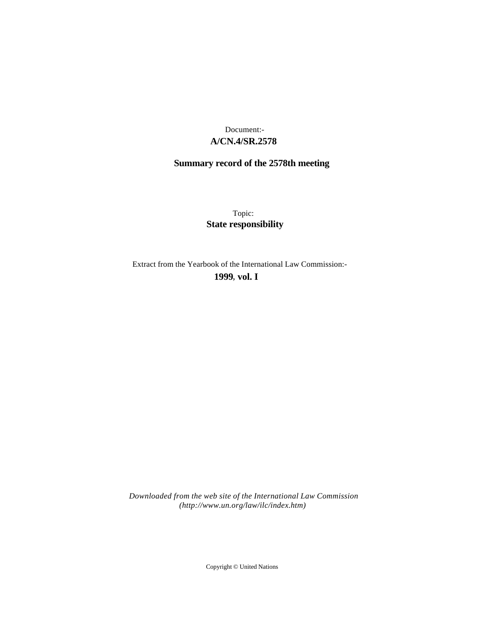# **A/CN.4/SR.2578** Document:-

# **Summary record of the 2578th meeting**

Topic: **State responsibility**

Extract from the Yearbook of the International Law Commission:-

**1999** , **vol. I**

*Downloaded from the web site of the International Law Commission (http://www.un.org/law/ilc/index.htm)*

Copyright © United Nations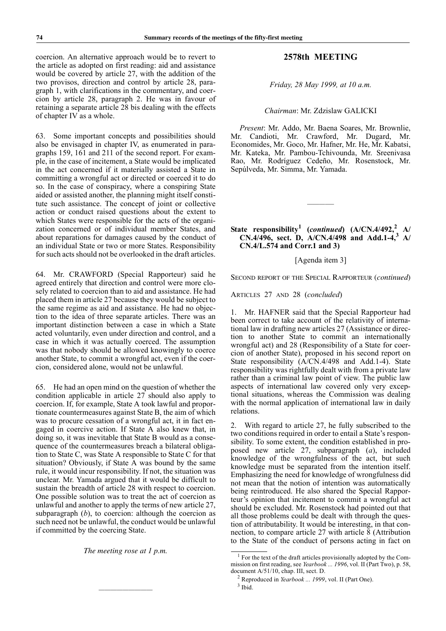coercion. An alternative approach would be to revert to the article as adopted on first reading: aid and assistance would be covered by article 27, with the addition of the two provisos, direction and control by article 28, paragraph 1, with clarifications in the commentary, and coercion by article 28, paragraph 2. He was in favour of retaining a separate article 28 bis dealing with the effects of chapter IV as a whole.

63. Some important concepts and possibilities should also be envisaged in chapter IV, as enumerated in paragraphs 159, 161 and 211 of the second report. For example, in the case of incitement, a State would be implicated in the act concerned if it materially assisted a State in committing a wrongful act or directed or coerced it to do so. In the case of conspiracy, where a conspiring State aided or assisted another, the planning might itself constitute such assistance. The concept of joint or collective action or conduct raised questions about the extent to which States were responsible for the acts of the organization concerned or of individual member States, and about reparations for damages caused by the conduct of an individual State or two or more States. Responsibility for such acts should not be overlooked in the draft articles.

64. Mr. CRAWFORD (Special Rapporteur) said he agreed entirely that direction and control were more closely related to coercion than to aid and assistance. He had placed them in article 27 because they would be subject to the same regime as aid and assistance. He had no objection to the idea of three separate articles. There was an important distinction between a case in which a State acted voluntarily, even under direction and control, and a case in which it was actually coerced. The assumption was that nobody should be allowed knowingly to coerce another State, to commit a wrongful act, even if the coercion, considered alone, would not be unlawful.

65. He had an open mind on the question of whether the condition applicable in article 27 should also apply to coercion. If, for example, State A took lawful and proportionate countermeasures against State B, the aim of which was to procure cessation of a wrongful act, it in fact engaged in coercive action. If State A also knew that, in doing so, it was inevitable that State B would as a consequence of the countermeasures breach a bilateral obligation to State C, was State A responsible to State C for that situation? Obviously, if State A was bound by the same rule, it would incur responsibility. If not, the situation was unclear. Mr. Yamada argued that it would be difficult to sustain the breadth of article 28 with respect to coercion. One possible solution was to treat the act of coercion as unlawful and another to apply the terms of new article 27, subparagraph (*b*), to coercion: although the coercion as such need not be unlawful, the conduct would be unlawful if committed by the coercing State.

*The meeting rose at 1 p.m.*

—————————

## **2578th MEETING**

*Friday, 28 May 1999, at 10 a.m.*

#### *Chairman*: Mr. Zdzislaw GALICKI

*Present*: Mr. Addo, Mr. Baena Soares, Mr. Brownlie, Mr. Candioti, Mr. Crawford, Mr. Dugard, Mr. Economides, Mr. Goco, Mr. Hafner, Mr. He, Mr. Kabatsi, Mr. Kateka, Mr. Pambou-Tchivounda, Mr. Sreenivasa Rao, Mr. Rodríguez Cedeño, Mr. Rosenstock, Mr. Sepúlveda, Mr. Simma, Mr. Yamada.

## **State responsibility<sup>1</sup> (***continued***) (A/CN.4/492,<sup>2</sup> A/ CN.4/496, sect. D, A/CN.4/498 and Add.1-4,3 A/ CN.4/L.574 and Corr.1 and 3)**

————–

### [Agenda item 3]

SECOND REPORT OF THE SPECIAL RAPPORTEUR (*continued*)

ARTICLES 27 AND 28 (*concluded*)

1. Mr. HAFNER said that the Special Rapporteur had been correct to take account of the relativity of international law in drafting new articles 27 (Assistance or direction to another State to commit an internationally wrongful act) and 28 (Responsibility of a State for coercion of another State), proposed in his second report on State responsibility (A/CN.4/498 and Add.1-4). State responsibility was rightfully dealt with from a private law rather than a criminal law point of view. The public law aspects of international law covered only very exceptional situations, whereas the Commission was dealing with the normal application of international law in daily relations.

2. With regard to article 27, he fully subscribed to the two conditions required in order to entail a State's responsibility. To some extent, the condition established in proposed new article 27, subparagraph (*a*), included knowledge of the wrongfulness of the act, but such knowledge must be separated from the intention itself. Emphasizing the need for knowledge of wrongfulness did not mean that the notion of intention was automatically being reintroduced. He also shared the Special Rapporteur's opinion that incitement to commit a wrongful act should be excluded. Mr. Rosenstock had pointed out that all those problems could be dealt with through the question of attributability. It would be interesting, in that connection, to compare article 27 with article 8 (Attribution to the State of the conduct of persons acting in fact on

<sup>&</sup>lt;sup>1</sup> For the text of the draft articles provisionally adopted by the Commission on first reading, see *Yearbook ... 1996*, vol. II (Part Two), p. 58, document A/51/10, chap. III, sect. D.

<sup>2</sup> Reproduced in *Yearbook ... 1999*, vol. II (Part One).

<sup>3</sup> Ibid.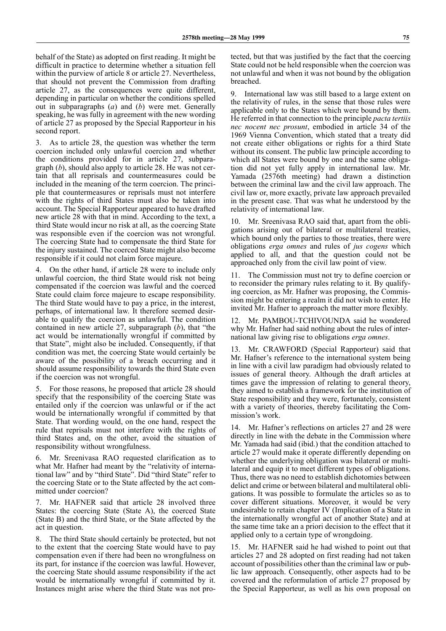behalf of the State) as adopted on first reading. It might be difficult in practice to determine whether a situation fell within the purview of article 8 or article 27. Nevertheless, that should not prevent the Commission from drafting article 27, as the consequences were quite different, depending in particular on whether the conditions spelled out in subparagraphs (*a*) and (*b*) were met. Generally speaking, he was fully in agreement with the new wording of article 27 as proposed by the Special Rapporteur in his second report.

3. As to article 28, the question was whether the term coercion included only unlawful coercion and whether the conditions provided for in article 27, subparagraph (*b*), should also apply to article 28. He was not certain that all reprisals and countermeasures could be included in the meaning of the term coercion. The principle that countermeasures or reprisals must not interfere with the rights of third States must also be taken into account. The Special Rapporteur appeared to have drafted new article 28 with that in mind. According to the text, a third State would incur no risk at all, as the coercing State was responsible even if the coercion was not wrongful. The coercing State had to compensate the third State for the injury sustained. The coerced State might also become responsible if it could not claim force majeure.

4. On the other hand, if article 28 were to include only unlawful coercion, the third State would risk not being compensated if the coercion was lawful and the coerced State could claim force majeure to escape responsibility. The third State would have to pay a price, in the interest, perhaps, of international law. It therefore seemed desirable to qualify the coercion as unlawful. The condition contained in new article 27, subparagraph (*b*), that "the act would be internationally wrongful if committed by that State", might also be included. Consequently, if that condition was met, the coercing State would certainly be aware of the possibility of a breach occurring and it should assume responsibility towards the third State even if the coercion was not wrongful.

5. For those reasons, he proposed that article 28 should specify that the responsibility of the coercing State was entailed only if the coercion was unlawful or if the act would be internationally wrongful if committed by that State. That wording would, on the one hand, respect the rule that reprisals must not interfere with the rights of third States and, on the other, avoid the situation of responsibility without wrongfulness.

6. Mr. Sreenivasa RAO requested clarification as to what Mr. Hafner had meant by the "relativity of international law" and by "third State". Did "third State" refer to the coercing State or to the State affected by the act committed under coercion?

Mr. HAFNER said that article 28 involved three States: the coercing State (State A), the coerced State (State B) and the third State, or the State affected by the act in question.

8. The third State should certainly be protected, but not to the extent that the coercing State would have to pay compensation even if there had been no wrongfulness on its part, for instance if the coercion was lawful. However, the coercing State should assume responsibility if the act would be internationally wrongful if committed by it. Instances might arise where the third State was not protected, but that was justified by the fact that the coercing State could not be held responsible when the coercion was not unlawful and when it was not bound by the obligation breached.

9. International law was still based to a large extent on the relativity of rules, in the sense that those rules were applicable only to the States which were bound by them. He referred in that connection to the principle *pacta tertiis nec nocent nec prosunt*, embodied in article 34 of the 1969 Vienna Convention, which stated that a treaty did not create either obligations or rights for a third State without its consent. The public law principle according to which all States were bound by one and the same obligation did not yet fully apply in international law. Mr. Yamada (2576th meeting) had drawn a distinction between the criminal law and the civil law approach. The civil law or, more exactly, private law approach prevailed in the present case. That was what he understood by the relativity of international law.

10. Mr. Sreenivasa RAO said that, apart from the obligations arising out of bilateral or multilateral treaties, which bound only the parties to those treaties, there were obligations *erga omnes* and rules of *jus cogens* which applied to all, and that the question could not be approached only from the civil law point of view.

The Commission must not try to define coercion or to reconsider the primary rules relating to it. By qualifying coercion, as Mr. Hafner was proposing, the Commission might be entering a realm it did not wish to enter. He invited Mr. Hafner to approach the matter more flexibly.

12. Mr. PAMBOU-TCHIVOUNDA said he wondered why Mr. Hafner had said nothing about the rules of international law giving rise to obligations *erga omnes*.

13. Mr. CRAWFORD (Special Rapporteur) said that Mr. Hafner's reference to the international system being in line with a civil law paradigm had obviously related to issues of general theory. Although the draft articles at times gave the impression of relating to general theory, they aimed to establish a framework for the institution of State responsibility and they were, fortunately, consistent with a variety of theories, thereby facilitating the Commission's work.

14. Mr. Hafner's reflections on articles 27 and 28 were directly in line with the debate in the Commission where Mr. Yamada had said (ibid.) that the condition attached to article 27 would make it operate differently depending on whether the underlying obligation was bilateral or multilateral and equip it to meet different types of obligations. Thus, there was no need to establish dichotomies between delict and crime or between bilateral and multilateral obligations. It was possible to formulate the articles so as to cover different situations. Moreover, it would be very undesirable to retain chapter IV (Implication of a State in the internationally wrongful act of another State) and at the same time take an a priori decision to the effect that it applied only to a certain type of wrongdoing.

15. Mr. HAFNER said he had wished to point out that articles 27 and 28 adopted on first reading had not taken account of possibilities other than the criminal law or public law approach. Consequently, other aspects had to be covered and the reformulation of article 27 proposed by the Special Rapporteur, as well as his own proposal on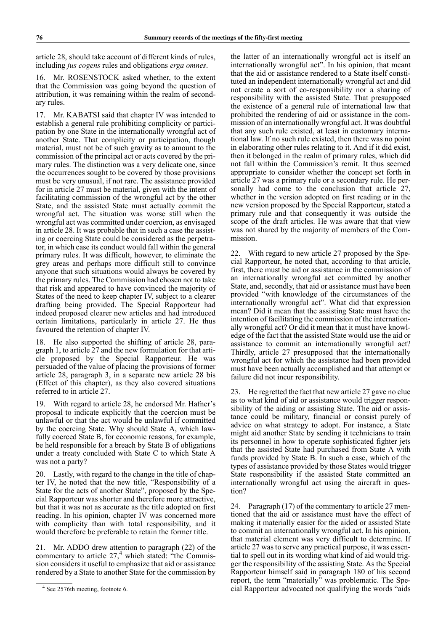article 28, should take account of different kinds of rules, including *jus cogens* rules and obligations *erga omnes*.

16. Mr. ROSENSTOCK asked whether, to the extent that the Commission was going beyond the question of attribution, it was remaining within the realm of secondary rules.

17. Mr. KABATSI said that chapter IV was intended to establish a general rule prohibiting complicity or participation by one State in the internationally wrongful act of another State. That complicity or participation, though material, must not be of such gravity as to amount to the commission of the principal act or acts covered by the primary rules. The distinction was a very delicate one, since the occurrences sought to be covered by those provisions must be very unusual, if not rare. The assistance provided for in article 27 must be material, given with the intent of facilitating commission of the wrongful act by the other State, and the assisted State must actually commit the wrongful act. The situation was worse still when the wrongful act was committed under coercion, as envisaged in article 28. It was probable that in such a case the assisting or coercing State could be considered as the perpetrator, in which case its conduct would fall within the general primary rules. It was difficult, however, to eliminate the grey areas and perhaps more difficult still to convince anyone that such situations would always be covered by the primary rules. The Commission had chosen not to take that risk and appeared to have convinced the majority of States of the need to keep chapter IV, subject to a clearer drafting being provided. The Special Rapporteur had indeed proposed clearer new articles and had introduced certain limitations, particularly in article 27. He thus favoured the retention of chapter IV.

18. He also supported the shifting of article 28, paragraph 1, to article 27 and the new formulation for that article proposed by the Special Rapporteur. He was persuaded of the value of placing the provisions of former article 28, paragraph 3, in a separate new article 28 bis (Effect of this chapter), as they also covered situations referred to in article 27.

19. With regard to article 28, he endorsed Mr. Hafner's proposal to indicate explicitly that the coercion must be unlawful or that the act would be unlawful if committed by the coercing State. Why should State A, which lawfully coerced State B, for economic reasons, for example, be held responsible for a breach by State B of obligations under a treaty concluded with State C to which State A was not a party?

20. Lastly, with regard to the change in the title of chapter IV, he noted that the new title, "Responsibility of a State for the acts of another State", proposed by the Special Rapporteur was shorter and therefore more attractive, but that it was not as accurate as the title adopted on first reading. In his opinion, chapter IV was concerned more with complicity than with total responsibility, and it would therefore be preferable to retain the former title.

21. Mr. ADDO drew attention to paragraph (22) of the commentary to article  $27<sup>4</sup>$  which stated: "the Commission considers it useful to emphasize that aid or assistance rendered by a State to another State for the commission by

the latter of an internationally wrongful act is itself an internationally wrongful act". In his opinion, that meant that the aid or assistance rendered to a State itself constituted an independent internationally wrongful act and did not create a sort of co-responsibility nor a sharing of responsibility with the assisted State. That presupposed the existence of a general rule of international law that prohibited the rendering of aid or assistance in the commission of an internationally wrongful act. It was doubtful that any such rule existed, at least in customary international law. If no such rule existed, then there was no point in elaborating other rules relating to it. And if it did exist, then it belonged in the realm of primary rules, which did not fall within the Commission's remit. It thus seemed appropriate to consider whether the concept set forth in article 27 was a primary rule or a secondary rule. He personally had come to the conclusion that article 27, whether in the version adopted on first reading or in the new version proposed by the Special Rapporteur, stated a primary rule and that consequently it was outside the scope of the draft articles. He was aware that that view was not shared by the majority of members of the Commission.

22. With regard to new article 27 proposed by the Special Rapporteur, he noted that, according to that article, first, there must be aid or assistance in the commission of an internationally wrongful act committed by another State, and, secondly, that aid or assistance must have been provided "with knowledge of the circumstances of the internationally wrongful act". What did that expression mean? Did it mean that the assisting State must have the intention of facilitating the commission of the internationally wrongful act? Or did it mean that it must have knowledge of the fact that the assisted State would use the aid or assistance to commit an internationally wrongful act? Thirdly, article 27 presupposed that the internationally wrongful act for which the assistance had been provided must have been actually accomplished and that attempt or failure did not incur responsibility.

23. He regretted the fact that new article 27 gave no clue as to what kind of aid or assistance would trigger responsibility of the aiding or assisting State. The aid or assistance could be military, financial or consist purely of advice on what strategy to adopt. For instance, a State might aid another State by sending it technicians to train its personnel in how to operate sophisticated fighter jets that the assisted State had purchased from State A with funds provided by State B. In such a case, which of the types of assistance provided by those States would trigger State responsibility if the assisted State committed an internationally wrongful act using the aircraft in question?

24. Paragraph (17) of the commentary to article 27 mentioned that the aid or assistance must have the effect of making it materially easier for the aided or assisted State to commit an internationally wrongful act. In his opinion, that material element was very difficult to determine. If article 27 was to serve any practical purpose, it was essential to spell out in its wording what kind of aid would trigger the responsibility of the assisting State. As the Special Rapporteur himself said in paragraph 180 of his second report, the term "materially" was problematic. The Special Rapporteur advocated not qualifying the words "aids

<sup>&</sup>lt;sup>4</sup> See 2576th meeting, footnote 6.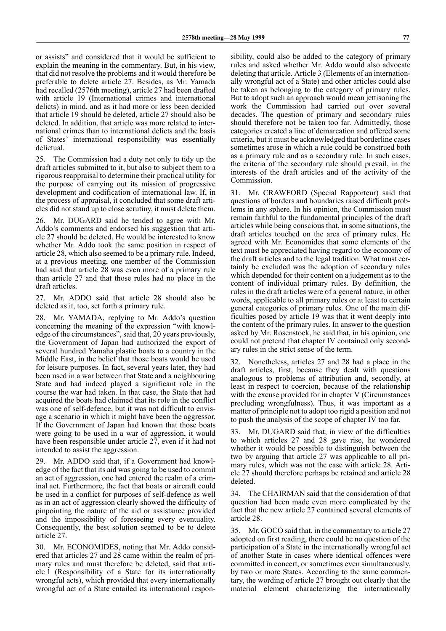or assists" and considered that it would be sufficient to explain the meaning in the commentary. But, in his view, that did not resolve the problems and it would therefore be preferable to delete article 27. Besides, as Mr. Yamada had recalled (2576th meeting), article 27 had been drafted with article 19 (International crimes and international delicts) in mind, and as it had more or less been decided that article 19 should be deleted, article 27 should also be deleted. In addition, that article was more related to international crimes than to international delicts and the basis of States' international responsibility was essentially delictual.

25. The Commission had a duty not only to tidy up the draft articles submitted to it, but also to subject them to a rigorous reappraisal to determine their practical utility for the purpose of carrying out its mission of progressive development and codification of international law. If, in the process of appraisal, it concluded that some draft articles did not stand up to close scrutiny, it must delete them.

26. Mr. DUGARD said he tended to agree with Mr. Addo's comments and endorsed his suggestion that article 27 should be deleted. He would be interested to know whether Mr. Addo took the same position in respect of article 28, which also seemed to be a primary rule. Indeed, at a previous meeting, one member of the Commission had said that article 28 was even more of a primary rule than article 27 and that those rules had no place in the draft articles.

27. Mr. ADDO said that article 28 should also be deleted as it, too, set forth a primary rule.

28. Mr. YAMADA, replying to Mr. Addo's question concerning the meaning of the expression "with knowledge of the circumstances", said that, 20 years previously, the Government of Japan had authorized the export of several hundred Yamaha plastic boats to a country in the Middle East, in the belief that those boats would be used for leisure purposes. In fact, several years later, they had been used in a war between that State and a neighbouring State and had indeed played a significant role in the course the war had taken. In that case, the State that had acquired the boats had claimed that its role in the conflict was one of self-defence, but it was not difficult to envisage a scenario in which it might have been the aggressor. If the Government of Japan had known that those boats were going to be used in a war of aggression, it would have been responsible under article 27, even if it had not intended to assist the aggression.

29. Mr. ADDO said that, if a Government had knowledge of the fact that its aid was going to be used to commit an act of aggression, one had entered the realm of a criminal act. Furthermore, the fact that boats or aircraft could be used in a conflict for purposes of self-defence as well as in an act of aggression clearly showed the difficulty of pinpointing the nature of the aid or assistance provided and the impossibility of foreseeing every eventuality. Consequently, the best solution seemed to be to delete article 27.

30. Mr. ECONOMIDES, noting that Mr. Addo considered that articles 27 and 28 came within the realm of primary rules and must therefore be deleted, said that article 1 (Responsibility of a State for its internationally wrongful acts), which provided that every internationally wrongful act of a State entailed its international responsibility, could also be added to the category of primary rules and asked whether Mr. Addo would also advocate deleting that article. Article 3 (Elements of an internationally wrongful act of a State) and other articles could also be taken as belonging to the category of primary rules. But to adopt such an approach would mean jettisoning the work the Commission had carried out over several decades. The question of primary and secondary rules should therefore not be taken too far. Admittedly, those categories created a line of demarcation and offered some criteria, but it must be acknowledged that borderline cases sometimes arose in which a rule could be construed both as a primary rule and as a secondary rule. In such cases, the criteria of the secondary rule should prevail, in the interests of the draft articles and of the activity of the Commission.

31. Mr. CRAWFORD (Special Rapporteur) said that questions of borders and boundaries raised difficult problems in any sphere. In his opinion, the Commission must remain faithful to the fundamental principles of the draft articles while being conscious that, in some situations, the draft articles touched on the area of primary rules. He agreed with Mr. Economides that some elements of the text must be appreciated having regard to the economy of the draft articles and to the legal tradition. What must certainly be excluded was the adoption of secondary rules which depended for their content on a judgement as to the content of individual primary rules. By definition, the rules in the draft articles were of a general nature, in other words, applicable to all primary rules or at least to certain general categories of primary rules. One of the main difficulties posed by article 19 was that it went deeply into the content of the primary rules. In answer to the question asked by Mr. Rosenstock, he said that, in his opinion, one could not pretend that chapter IV contained only secondary rules in the strict sense of the term.

32. Nonetheless, articles 27 and 28 had a place in the draft articles, first, because they dealt with questions analogous to problems of attribution and, secondly, at least in respect to coercion, because of the relationship with the excuse provided for in chapter V (Circumstances precluding wrongfulness). Thus, it was important as a matter of principle not to adopt too rigid a position and not to push the analysis of the scope of chapter IV too far.

33. Mr. DUGARD said that, in view of the difficulties to which articles 27 and 28 gave rise, he wondered whether it would be possible to distinguish between the two by arguing that article 27 was applicable to all primary rules, which was not the case with article 28. Article 27 should therefore perhaps be retained and article 28 deleted.

34. The CHAIRMAN said that the consideration of that question had been made even more complicated by the fact that the new article 27 contained several elements of article 28.

35. Mr. GOCO said that, in the commentary to article 27 adopted on first reading, there could be no question of the participation of a State in the internationally wrongful act of another State in cases where identical offences were committed in concert, or sometimes even simultaneously, by two or more States. According to the same commentary, the wording of article 27 brought out clearly that the material element characterizing the internationally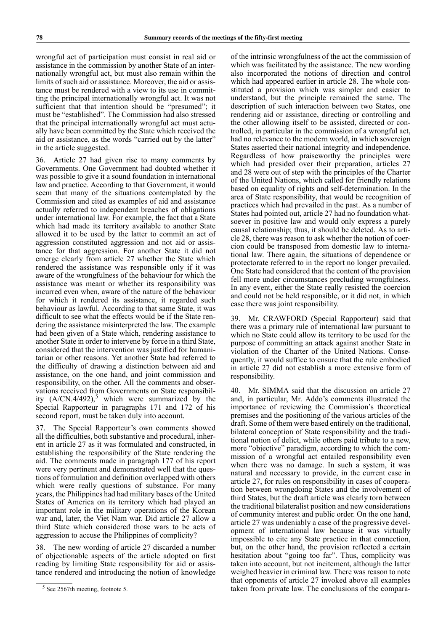wrongful act of participation must consist in real aid or assistance in the commission by another State of an internationally wrongful act, but must also remain within the limits of such aid or assistance. Moreover, the aid or assistance must be rendered with a view to its use in committing the principal internationally wrongful act. It was not sufficient that that intention should be "presumed"; it must be "established". The Commission had also stressed that the principal internationally wrongful act must actually have been committed by the State which received the aid or assistance, as the words "carried out by the latter" in the article suggested.

36. Article 27 had given rise to many comments by Governments. One Government had doubted whether it was possible to give it a sound foundation in international law and practice. According to that Government, it would seem that many of the situations contemplated by the Commission and cited as examples of aid and assistance actually referred to independent breaches of obligations under international law. For example, the fact that a State which had made its territory available to another State allowed it to be used by the latter to commit an act of aggression constituted aggression and not aid or assistance for that aggression. For another State it did not emerge clearly from article 27 whether the State which rendered the assistance was responsible only if it was aware of the wrongfulness of the behaviour for which the assistance was meant or whether its responsibility was incurred even when, aware of the nature of the behaviour for which it rendered its assistance, it regarded such behaviour as lawful. According to that same State, it was difficult to see what the effects would be if the State rendering the assistance misinterpreted the law. The example had been given of a State which, rendering assistance to another State in order to intervene by force in a third State, considered that the intervention was justified for humanitarian or other reasons. Yet another State had referred to the difficulty of drawing a distinction between aid and assistance, on the one hand, and joint commission and responsibility, on the other. All the comments and observations received from Governments on State responsibility  $(A/CN.4/492)$ ,<sup>5</sup> which were summarized by the Special Rapporteur in paragraphs 171 and 172 of his second report, must be taken duly into account.

37. The Special Rapporteur's own comments showed all the difficulties, both substantive and procedural, inherent in article 27 as it was formulated and constructed, in establishing the responsibility of the State rendering the aid. The comments made in paragraph 177 of his report were very pertinent and demonstrated well that the questions of formulation and definition overlapped with others which were really questions of substance. For many years, the Philippines had had military bases of the United States of America on its territory which had played an important role in the military operations of the Korean war and, later, the Viet Nam war. Did article 27 allow a third State which considered those wars to be acts of aggression to accuse the Philippines of complicity?

38. The new wording of article 27 discarded a number of objectionable aspects of the article adopted on first reading by limiting State responsibility for aid or assistance rendered and introducing the notion of knowledge

of the intrinsic wrongfulness of the act the commission of which was facilitated by the assistance. The new wording also incorporated the notions of direction and control which had appeared earlier in article 28. The whole constituted a provision which was simpler and easier to understand, but the principle remained the same. The description of such interaction between two States, one rendering aid or assistance, directing or controlling and the other allowing itself to be assisted, directed or controlled, in particular in the commission of a wrongful act, had no relevance to the modern world, in which sovereign States asserted their national integrity and independence. Regardless of how praiseworthy the principles were which had presided over their preparation, articles 27 and 28 were out of step with the principles of the Charter of the United Nations, which called for friendly relations based on equality of rights and self-determination. In the area of State responsibility, that would be recognition of practices which had prevailed in the past. As a number of States had pointed out, article 27 had no foundation whatsoever in positive law and would only express a purely causal relationship; thus, it should be deleted. As to article 28, there was reason to ask whether the notion of coercion could be transposed from domestic law to international law. There again, the situations of dependence or protectorate referred to in the report no longer prevailed. One State had considered that the content of the provision fell more under circumstances precluding wrongfulness. In any event, either the State really resisted the coercion and could not be held responsible, or it did not, in which case there was joint responsibility.

Mr. CRAWFORD (Special Rapporteur) said that there was a primary rule of international law pursuant to which no State could allow its territory to be used for the purpose of committing an attack against another State in violation of the Charter of the United Nations. Consequently, it would suffice to ensure that the rule embodied in article 27 did not establish a more extensive form of responsibility.

40. Mr. SIMMA said that the discussion on article 27 and, in particular, Mr. Addo's comments illustrated the importance of reviewing the Commission's theoretical premises and the positioning of the various articles of the draft. Some of them were based entirely on the traditional, bilateral conception of State responsibility and the traditional notion of delict, while others paid tribute to a new, more "objective" paradigm, according to which the commission of a wrongful act entailed responsibility even when there was no damage. In such a system, it was natural and necessary to provide, in the current case in article 27, for rules on responsibility in cases of cooperation between wrongdoing States and the involvement of third States, but the draft article was clearly torn between the traditional bilateralist position and new considerations of community interest and public order. On the one hand, article 27 was undeniably a case of the progressive development of international law because it was virtually impossible to cite any State practice in that connection, but, on the other hand, the provision reflected a certain hesitation about "going too far". Thus, complicity was taken into account, but not incitement, although the latter weighed heavier in criminal law. There was reason to note that opponents of article 27 invoked above all examples taken from private law. The conclusions of the compara-

<sup>&</sup>lt;sup>5</sup> See 2567th meeting, footnote 5.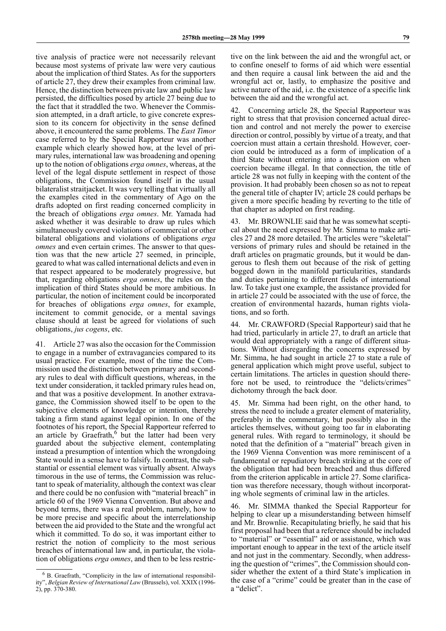tive analysis of practice were not necessarily relevant because most systems of private law were very cautious about the implication of third States. As for the supporters of article 27, they drew their examples from criminal law. Hence, the distinction between private law and public law persisted, the difficulties posed by article 27 being due to the fact that it straddled the two. Whenever the Commission attempted, in a draft article, to give concrete expression to its concern for objectivity in the sense defined above, it encountered the same problems. The *East Timor* case referred to by the Special Rapporteur was another example which clearly showed how, at the level of primary rules, international law was broadening and opening up to the notion of obligations *erga omnes*, whereas, at the level of the legal dispute settlement in respect of those obligations, the Commission found itself in the usual bilateralist straitjacket. It was very telling that virtually all the examples cited in the commentary of Ago on the drafts adopted on first reading concerned complicity in the breach of obligations *erga omnes*. Mr. Yamada had asked whether it was desirable to draw up rules which simultaneously covered violations of commercial or other bilateral obligations and violations of obligations *erga omnes* and even certain crimes. The answer to that question was that the new article 27 seemed, in principle, geared to what was called international delicts and even in that respect appeared to be moderately progressive, but that, regarding obligations *erga omnes*, the rules on the implication of third States should be more ambitious. In particular, the notion of incitement could be incorporated for breaches of obligations *erga omnes*, for example, incitement to commit genocide, or a mental savings clause should at least be agreed for violations of such obligations, *jus cogens*, etc.

41. Article 27 was also the occasion for the Commission to engage in a number of extravagancies compared to its usual practice. For example, most of the time the Commission used the distinction between primary and secondary rules to deal with difficult questions, whereas, in the text under consideration, it tackled primary rules head on, and that was a positive development. In another extravagance, the Commission showed itself to be open to the subjective elements of knowledge or intention, thereby taking a firm stand against legal opinion. In one of the footnotes of his report, the Special Rapporteur referred to an article by Graefrath, $6$  but the latter had been very guarded about the subjective element, contemplating instead a presumption of intention which the wrongdoing State would in a sense have to falsify. In contrast, the substantial or essential element was virtually absent. Always timorous in the use of terms, the Commission was reluctant to speak of materiality, although the context was clear and there could be no confusion with "material breach" in article 60 of the 1969 Vienna Convention. But above and beyond terms, there was a real problem, namely, how to be more precise and specific about the interrelationship between the aid provided to the State and the wrongful act which it committed. To do so, it was important either to restrict the notion of complicity to the most serious breaches of international law and, in particular, the violation of obligations *erga omnes*, and then to be less restrictive on the link between the aid and the wrongful act, or to confine oneself to forms of aid which were essential and then require a causal link between the aid and the wrongful act or, lastly, to emphasize the positive and active nature of the aid, i.e. the existence of a specific link between the aid and the wrongful act.

42. Concerning article 28, the Special Rapporteur was right to stress that that provision concerned actual direction and control and not merely the power to exercise direction or control, possibly by virtue of a treaty, and that coercion must attain a certain threshold. However, coercion could be introduced as a form of implication of a third State without entering into a discussion on when coercion became illegal. In that connection, the title of article 28 was not fully in keeping with the content of the provision. It had probably been chosen so as not to repeat the general title of chapter IV; article 28 could perhaps be given a more specific heading by reverting to the title of that chapter as adopted on first reading.

43. Mr. BROWNLIE said that he was somewhat sceptical about the need expressed by Mr. Simma to make articles 27 and 28 more detailed. The articles were "skeletal" versions of primary rules and should be retained in the draft articles on pragmatic grounds, but it would be dangerous to flesh them out because of the risk of getting bogged down in the manifold particularities, standards and duties pertaining to different fields of international law. To take just one example, the assistance provided for in article 27 could be associated with the use of force, the creation of environmental hazards, human rights violations, and so forth.

44. Mr. CRAWFORD (Special Rapporteur) said that he had tried, particularly in article 27, to draft an article that would deal appropriately with a range of different situations. Without disregarding the concerns expressed by Mr. Simma, he had sought in article 27 to state a rule of general application which might prove useful, subject to certain limitations. The articles in question should therefore not be used, to reintroduce the "delicts/crimes" dichotomy through the back door.

Mr. Simma had been right, on the other hand, to stress the need to include a greater element of materiality, preferably in the commentary, but possibly also in the articles themselves, without going too far in elaborating general rules. With regard to terminology, it should be noted that the definition of a "material" breach given in the 1969 Vienna Convention was more reminiscent of a fundamental or repudiatory breach striking at the core of the obligation that had been breached and thus differed from the criterion applicable in article 27. Some clarification was therefore necessary, though without incorporating whole segments of criminal law in the articles.

46. Mr. SIMMA thanked the Special Rapporteur for helping to clear up a misunderstanding between himself and Mr. Brownlie. Recapitulating briefly, he said that his first proposal had been that a reference should be included to "material" or "essential" aid or assistance, which was important enough to appear in the text of the article itself and not just in the commentary. Secondly, when addressing the question of "crimes", the Commission should consider whether the extent of a third State's implication in the case of a "crime" could be greater than in the case of a "delict".

<sup>6</sup> B. Graefrath, "Complicity in the law of international responsibility", *Belgian Review of International Law* (Brussels), vol. XXIX (1996- 2), pp. 370-380.